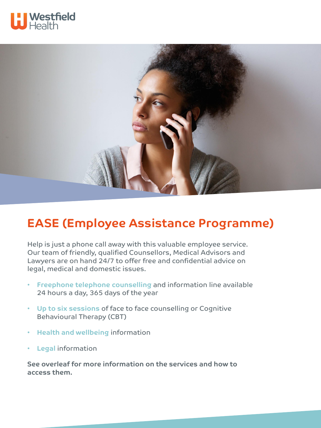



## **EASE (Employee Assistance Programme)**

Help is just a phone call away with this valuable employee service. Our team of friendly, qualified Counsellors, Medical Advisors and Lawyers are on hand 24/7 to offer free and confidential advice on legal, medical and domestic issues.

- **Freephone telephone counselling** and information line available 24 hours a day, 365 days of the year
- **Up to six sessions** of face to face counselling or Cognitive Behavioural Therapy (CBT)
- **Health and wellbeing** information
- **Legal** information

**See overleaf for more information on the services and how to access them.**